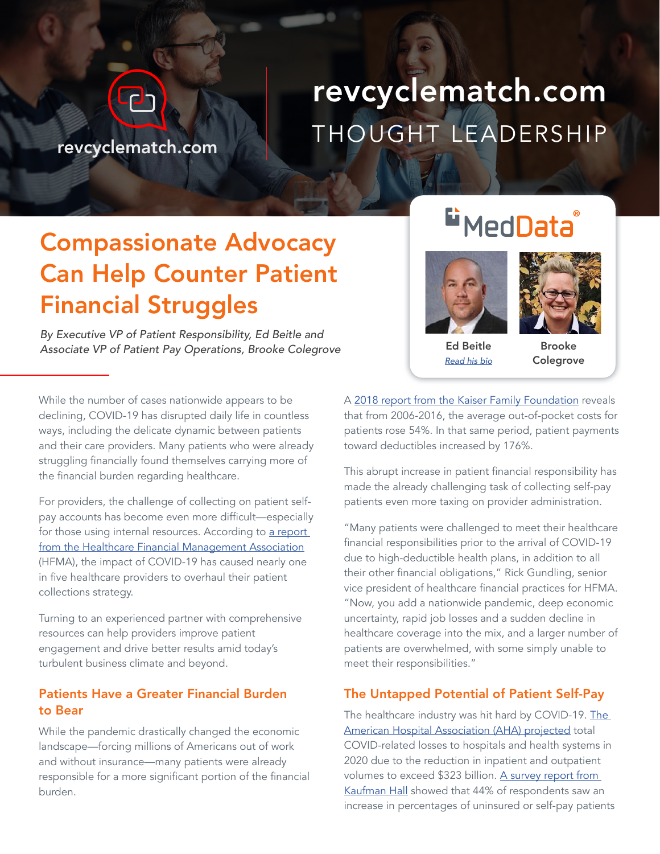### revcyclematch.com

 $\overline{c}$ 

## revcyclematch.com THOUGHT LEADERSHIP

### Can Help Counter Patient Compassionate Advocacy Financial Struggles

**As a business relief on the vendors for every set on the vendors for every set on the vendors for every set on** from Strategy to the strategy to the strategy to the strategy to the strategy of the strategy of the strategy of the strategy of the strategy of the strategy of the strategy of the strategy of the strategy of the strategy Associate VP of Patient Pay Operations, Brooke Colegrove **Ed Beitle**<br>Read his big

with a great partner. The correlation of product partners is the countless of declining, COVID-19 has disrupted daily life in countless of the control of the control of the countless of the control of the control of the co struggling financially found themselves carrying more of While the number of cases nationwide appears to be ways, including the delicate dynamic between patients and their care providers. Many patients who were already the financial burden regarding healthcare.

pay accounts has become even more difficult—especially  $\overline{\phantom{a}}$ for those using internal resources. According to <u>[a report](https://www.hfma.org/topics/hfm/2020/november/survey-covid-19-profoundly-affecting-patient-collections-and-financial-assistance-programs.html) </u> [from the Healthcare Financial Management Association](https://www.hfma.org/topics/hfm/2020/november/survey-covid-19-profoundly-affecting-patient-collections-and-financial-assistance-programs.html) **and International Test** (HFMA), the impact of COVID-19 has caused nearly one For providers, the challenge of collecting on patient selfin five healthcare providers to overhaul their patient collections strategy.

Turning to an experienced partner with comprehensive **manuform** uncertaint resources can help providers improve patient engagement and drive better results amid today's turbulent business climate and beyond.

### Patients Have a Greater Financial Burden The to Bear

responsible for a more significant portion of the financial volumes to *Founder BMT Consulting revcyclematch.com Advisory Board Chair* While the pandemic drastically changed the economic landscape—forcing millions of Americans out of work and without insurance—many patients were already burden.

# Li MedData





**Ed Beitle** Read his bio Read his bio *[Read his bio](https://www.meddata.com/staff-member/edward-beitle/)*

"supplier" into a "partner." There's

of trust. Trust often takes time and Brooke

ears to be <br>A [2018 report from the Kaiser Family Foundation](https://www.healthsystemtracker.org/brief/increases-in-cost-sharing-payments-have-far-outpaced-wage-growth/#item-start) reveals en patients right battents rose 54% o were already howard deductibles increased by 176%. that from 2006-2016, the average out-of-pocket costs for good decisions in the best interests in patients rose 54%. In that same period, patient payments

is critical to the success. This abrupt increase is a substantial to  $\mu$ made the already challenging task of collecting self-pay n patient self-**nomation and ena**ndore taxing on provider administration. This abrupt increase in patient financial responsibility has

reployed by the more them to partners were challenged to meet their healthcare g to <u>a report</u><br>Association financial responsibilities prior to the arrival of COVID-19  $\dot{\rm v}$  is one that is one sident of healthcare financial practices for HFMA. "Now, you add a nationwide pandemic, deep economic nt and a result are coverage into the mix, and a larger number of of strategic networking. For most buays patients are over meet their respo due to high-deductible health plans, in addition to all<br>**due** to high-deductible health plans, in addition to all  $\sum_{i=1}^{n}$  is  $\sum_{i=1}^{n}$  if  $\sum_{i=1}^{n}$  substitution to an their other financial obligations," Rick Gundling, senior patients are overwhelmed, with some simply unable to parents are creminanted, minicially and companies."  $m_{\text{c}}$ uncertainty, rapid job losses and a sudden decline in

### The Untapped Potential of Patient Self-Pay

Like healthcare income work on this partnership, odds are should be balanced. If you have the [American Hospital Association \(AHA\) projected](https://www.aha.org/system/files/media/file/2020/06/aha-covid19-financial-impact-report.pdf) total ut of work **COVID-related losses to hospitals and health systems** in successful are are a few factors to the synergy. The marketing is and synthetic control of the synergy separation of the material showed that 44% of respondents saw an  $\frac{1}{2}$  to  $\frac{1}{2}$  to have the control  $\frac{1}{2}$  or  $\frac{1}{2}$  or  $\frac{1}{2}$  to  $\frac{1}{2}$  or  $\frac{1}{2}$  or  $\frac{1}{2}$  or  $\frac{1}{2}$  or  $\frac{1}{2}$  or  $\frac{1}{2}$  or  $\frac{1}{2}$  or  $\frac{1}{2}$  or  $\frac{1}{2}$  or  $\frac{1}{2}$  or  $\frac{1}{2}$ [The](https://www.aha.org/system/files/media/file/2020/06/aha-covid19-financial-impact-report.pdf) healthcare industry was hit hard by COVID-19. <u>The first of the time in</u> 2020 due to the reduction in inpatient and outpatient volumes to exceed \$323 billion. <u>A survey report from</u> increase in percentages of uninsured or self-pay patients